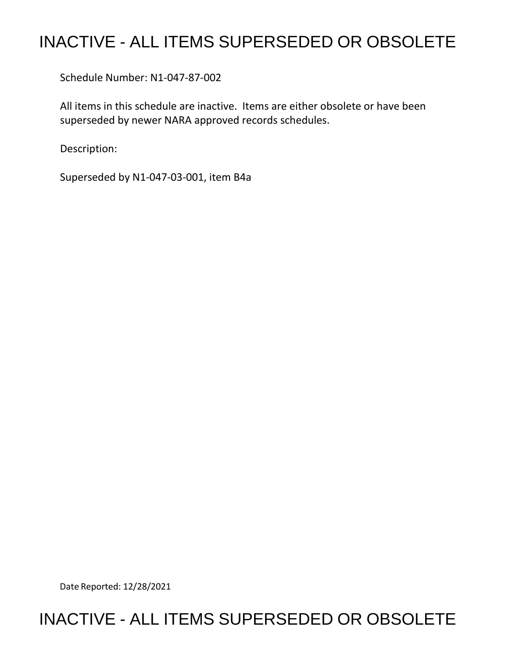## INACTIVE - ALL ITEMS SUPERSEDED OR OBSOLETE

Schedule Number: N1-047-87-002

All items in this schedule are inactive. Items are either obsolete or have been superseded by newer NARA approved records schedules.

Description:

Superseded by N1-047-03-001, item B4a

Date Reported: 12/28/2021

## INACTIVE - ALL ITEMS SUPERSEDED OR OBSOLETE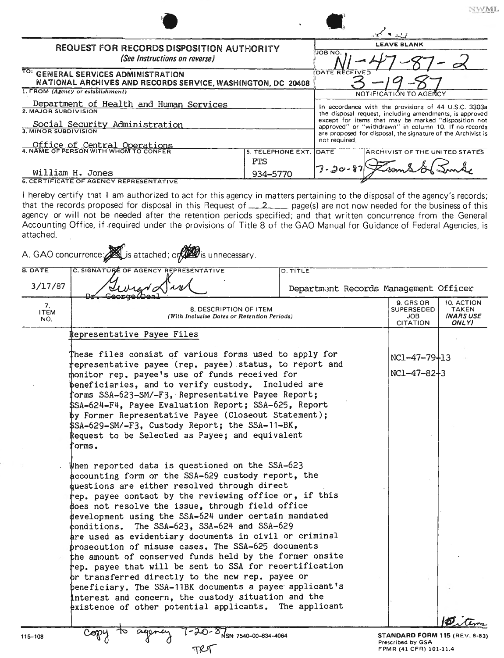|                                                                                                    | $\ddot{\phantom{1}}$ |                                                                                | <b>A</b> CONTINUES<br>$\cdots$                                                                                                                                                                                                                                                                             |  |  |
|----------------------------------------------------------------------------------------------------|----------------------|--------------------------------------------------------------------------------|------------------------------------------------------------------------------------------------------------------------------------------------------------------------------------------------------------------------------------------------------------------------------------------------------------|--|--|
| <b>REQUEST FOR RECORDS DISPOSITION AUTHORITY</b><br>(See Instructions on reverse)                  |                      |                                                                                | <b>LEAVE BLANK</b><br>JOB NO.                                                                                                                                                                                                                                                                              |  |  |
| TO: GENERAL SERVICES ADMINISTRATION<br>NATIONAL ARCHIVES AND RECORDS SERVICE, WASHINGTON, DC 20408 |                      |                                                                                | <b>DATE RECEIVED</b>                                                                                                                                                                                                                                                                                       |  |  |
| 1. FROM (Agency or establishment)<br>Department of Health and Human Services                       |                      | NOTIFICATION TO AGENCY<br>In accordance with the provisions of 44 U.S.C. 3303a |                                                                                                                                                                                                                                                                                                            |  |  |
| 2. MAJOR SUBDIVISION<br>Social Security Administration<br>3. MINOR SUBDIVISION                     |                      |                                                                                | the disposal request, including amendments, is approved<br>except for items that may be marked "disposition not<br>approved" or "withdrawn" in column 10. If no records<br>are proposed for disposal, the signature of the Archivist is<br>not required.<br><b>IDATE</b><br>ARCHIVIST OF THE UNITED STATES |  |  |
| Office of Central Operations<br>5. TELEPHONE EXT.                                                  |                      |                                                                                |                                                                                                                                                                                                                                                                                                            |  |  |
|                                                                                                    | <b>FTS</b>           |                                                                                |                                                                                                                                                                                                                                                                                                            |  |  |
| William H. Jones<br><b>6. CERTIFICATE OF AGENCY REPRESENTATIVE</b>                                 | 934-5770             | $7 - 20 - 87$                                                                  |                                                                                                                                                                                                                                                                                                            |  |  |

**NWML** 

I hereby certify that I am authorized to act for this agency in matters pertaining to the disposal of the agency's records; that the records proposed for disposal in this Request of  $22$  page(s) are not now needed for the business of this agency or will not be needed after the retention periods specified; and that written concurrence from the General Accounting Office, if required under the provisions of Title 8 of the GAO Manual for Guidance of Federal Agencies, is attached.

| <b>B. DATE</b>           | C. SIGNATURE OF AGENCY REPRESENTATIVE                                                                                                                                                                                                                                                                                                                                                                                                                                                                                                                                                                                                                                                                                                                                                                                                             | <b>D. TITLE</b>                       |                                                                                     |                                                         |  |
|--------------------------|---------------------------------------------------------------------------------------------------------------------------------------------------------------------------------------------------------------------------------------------------------------------------------------------------------------------------------------------------------------------------------------------------------------------------------------------------------------------------------------------------------------------------------------------------------------------------------------------------------------------------------------------------------------------------------------------------------------------------------------------------------------------------------------------------------------------------------------------------|---------------------------------------|-------------------------------------------------------------------------------------|---------------------------------------------------------|--|
| 3/17/87                  | $\sqrt{2}$                                                                                                                                                                                                                                                                                                                                                                                                                                                                                                                                                                                                                                                                                                                                                                                                                                        | Department Records Management Officer |                                                                                     |                                                         |  |
| 7.<br><b>ITEM</b><br>NO. | 8. DESCRIPTION OF ITEM<br>(With Inclusive Dates or Retention Periods)                                                                                                                                                                                                                                                                                                                                                                                                                                                                                                                                                                                                                                                                                                                                                                             |                                       | 9. GRS OR<br>SUPERSEDED<br>JOB<br><b>CITATION</b>                                   | 10. ACTION<br><b>TAKEN</b><br><b>(NARS USE</b><br>ONLY) |  |
|                          | <b>Representative Payee Files</b>                                                                                                                                                                                                                                                                                                                                                                                                                                                                                                                                                                                                                                                                                                                                                                                                                 |                                       |                                                                                     |                                                         |  |
|                          | These files consist of various forms used to apply for<br>representative payee (rep. payee) status, to report and<br>monitor rep. payee's use of funds received for<br>beneficiaries, and to verify custody. Included are<br>forms SSA-623-SM/-F3, Representative Payee Report;<br>\$SA-624-F4, Payee Evaluation Report; SSA-625, Report<br>by Former Representative Payee (Closeout Statement);<br>\$SA-629-SM/-F3, Custody Report; the SSA-11-BK,<br>Request to be Selected as Payee; and equivalent<br>forms.                                                                                                                                                                                                                                                                                                                                  |                                       | NC1-47-79+13<br>$NC1 - 47 - 82 + 3$                                                 |                                                         |  |
|                          | When reported data is questioned on the SSA-623<br>accounting form or the SSA-629 custody report, the<br>questions are either resolved through direct<br>rep. payee contact by the reviewing office or, if this<br>does not resolve the issue, through field office<br>development using the SSA-624 under certain mandated<br>conditions. The SSA-623, SSA-624 and SSA-629<br>are used as evidentiary documents in civil or criminal<br>prosecution of misuse cases. The SSA-625 documents<br>the amount of conserved funds held by the former onsite<br>tep. payee that will be sent to SSA for recertification<br>or transferred directly to the new rep. payee or<br>beneficiary. The SSA-11BK documents a payee applicant's<br>interest and concern, the custody situation and the<br>existence of other potential applicants. The applicant |                                       |                                                                                     |                                                         |  |
| 115-108                  | $\sim$ NSN 7540-00-634-4064                                                                                                                                                                                                                                                                                                                                                                                                                                                                                                                                                                                                                                                                                                                                                                                                                       |                                       | <b>STANDARD FORM 115 (REV. 8-83)</b><br>Prescribed by GSA<br>FPMR (41 CFR) 101-11.4 |                                                         |  |